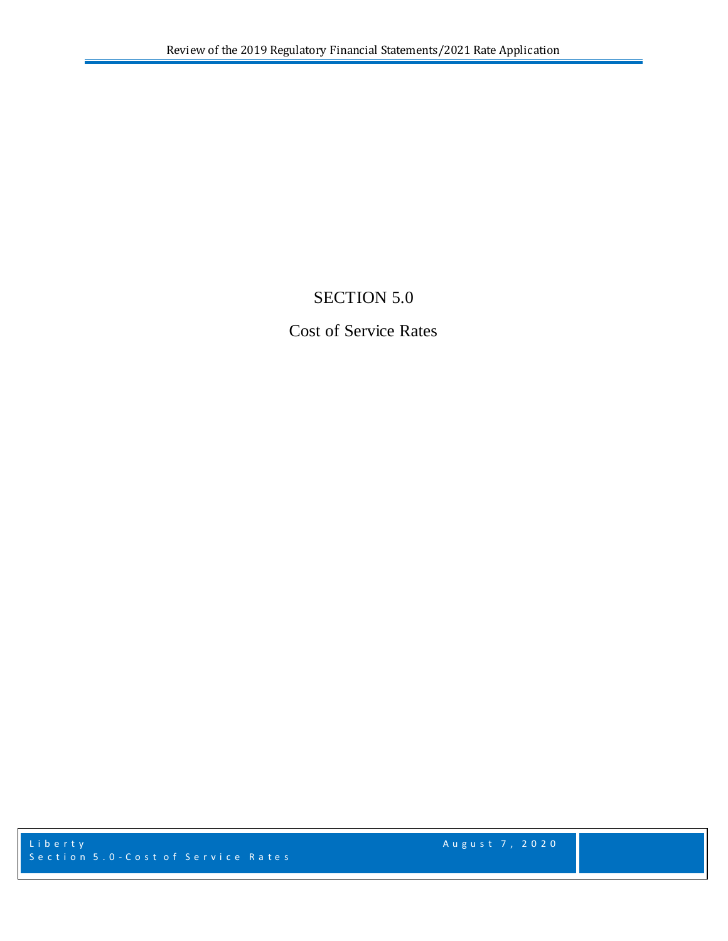# SECTION 5.0

## Cost of Service Rates

Liberty **August 7, 2020** Section 5.0 - Cost of Service Rates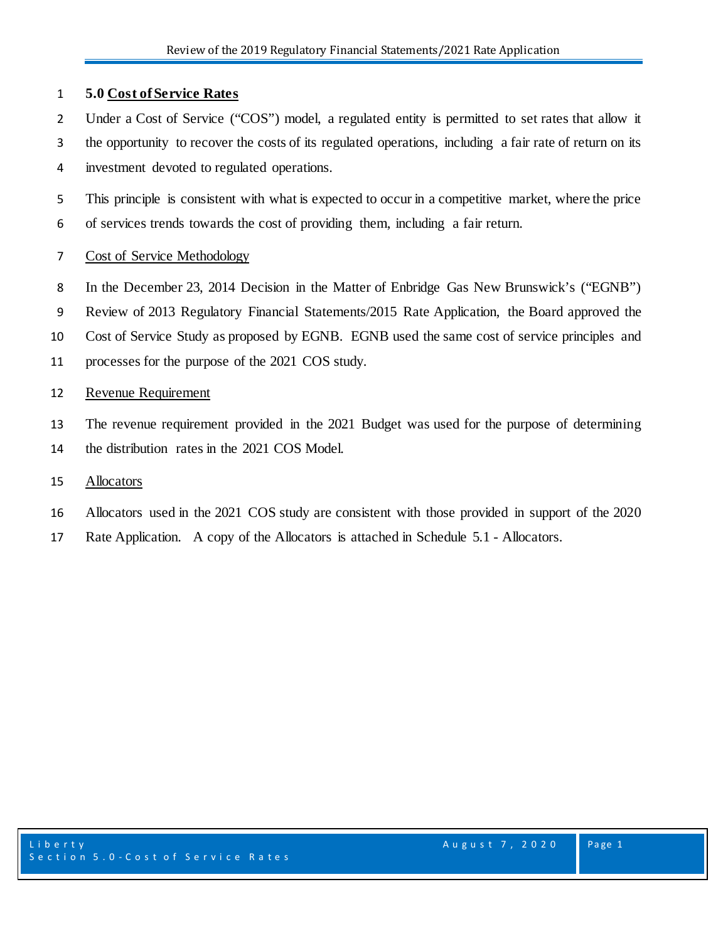## **5.0 Cost of Service Rates**

- 2 Under a Cost of Service ("COS") model, a regulated entity is permitted to set rates that allow it
- the opportunity to recover the costs of its regulated operations, including a fair rate of return on its investment devoted to regulated operations.
- This principle is consistent with what is expected to occur in a competitive market, where the price of services trends towards the cost of providing them, including a fair return.

## Cost of Service Methodology

- In the December 23, 2014 Decision in the Matter of Enbridge Gas New Brunswick's ("EGNB")
- Review of 2013 Regulatory Financial Statements/2015 Rate Application, the Board approved the
- Cost of Service Study as proposed by EGNB. EGNB used the same cost of service principles and
- processes for the purpose of the 2021 COS study.

#### Revenue Requirement

 The revenue requirement provided in the 2021 Budget was used for the purpose of determining the distribution rates in the 2021 COS Model.

#### Allocators

- Allocators used in the 2021 COS study are consistent with those provided in support of the 2020
- Rate Application. A copy of the Allocators is attached in Schedule 5.1 Allocators.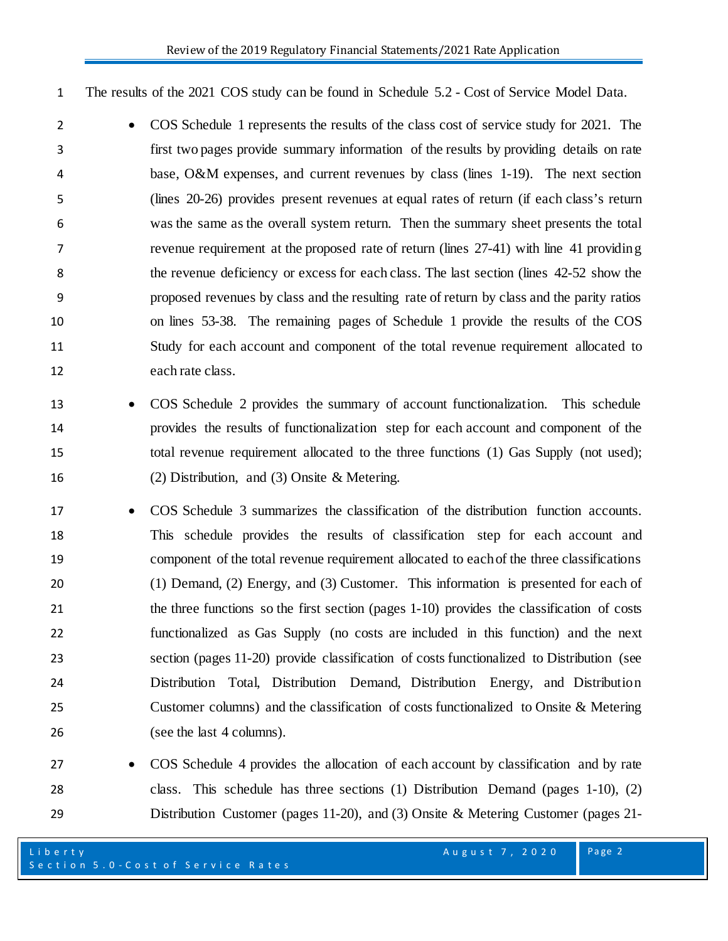The results of the 2021 COS study can be found in Schedule 5.2 - Cost of Service Model Data.

- COS Schedule 1 represents the results of the class cost of service study for 2021. The first two pages provide summary information of the results by providing details on rate base, O&M expenses, and current revenues by class (lines 1-19). The next section (lines 20-26) provides present revenues at equal rates of return (if each class's return was the same as the overall system return. Then the summary sheet presents the total revenue requirement at the proposed rate of return (lines 27-41) with line 41 providing the revenue deficiency or excess for each class. The last section (lines 42-52 show the proposed revenues by class and the resulting rate of return by class and the parity ratios on lines 53-38. The remaining pages of Schedule 1 provide the results of the COS Study for each account and component of the total revenue requirement allocated to each rate class.
- COS Schedule 2 provides the summary of account functionalization. This schedule provides the results of functionalization step for each account and component of the total revenue requirement allocated to the three functions (1) Gas Supply (not used); (2) Distribution, and (3) Onsite & Metering.
- COS Schedule 3 summarizes the classification of the distribution function accounts. This schedule provides the results of classification step for each account and component of the total revenue requirement allocated to each of the three classifications (1) Demand, (2) Energy, and (3) Customer. This information is presented for each of the three functions so the first section (pages 1-10) provides the classification of costs functionalized as Gas Supply (no costs are included in this function) and the next section (pages 11-20) provide classification of costs functionalized to Distribution (see Distribution Total, Distribution Demand, Distribution Energy, and Distribution Customer columns) and the classification of costs functionalized to Onsite & Metering 26 (see the last 4 columns).
- COS Schedule 4 provides the allocation of each account by classification and by rate class. This schedule has three sections (1) Distribution Demand (pages 1-10), (2) Distribution Customer (pages 11-20), and (3) Onsite & Metering Customer (pages 21-